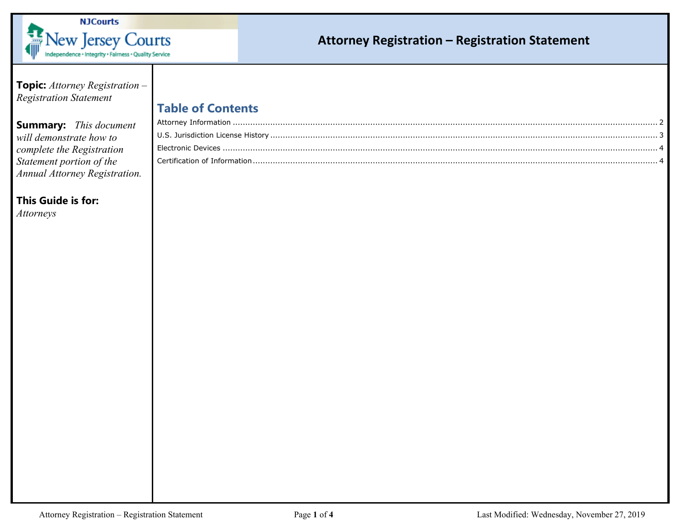

## **Attorney Registration – Registration Statement**

**Topic:** *Attorney Registration – Registration Statement*

## **Summary:** *This document will demonstrate how to complete the Registration Statement portion of the Annual Attorney Registration.*

## **This Guide is for:**

*Attorneys*

| <b>Table of Contents</b> |  |
|--------------------------|--|
|--------------------------|--|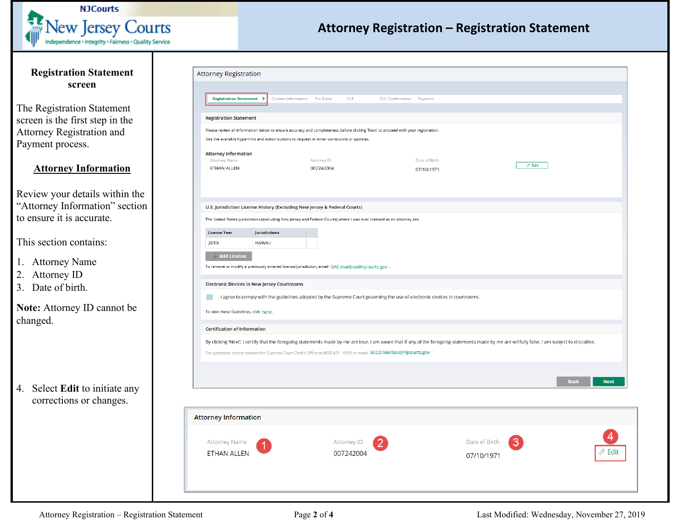

## **Attorney Registration – Registration Statement**

<span id="page-1-0"></span>

| <b>Registration Statement</b>                             | <b>Attorney Registration</b>                                              |                                                                                                                                                                                                 |                             |                                             |  |  |  |
|-----------------------------------------------------------|---------------------------------------------------------------------------|-------------------------------------------------------------------------------------------------------------------------------------------------------------------------------------------------|-----------------------------|---------------------------------------------|--|--|--|
| screen                                                    |                                                                           |                                                                                                                                                                                                 |                             |                                             |  |  |  |
|                                                           | <b>Registration Statement &gt;</b>                                        | Contact Information Pro Bono<br>CLE                                                                                                                                                             | CLE Confirmation Payment    |                                             |  |  |  |
| The Registration Statement                                |                                                                           |                                                                                                                                                                                                 |                             |                                             |  |  |  |
| screen is the first step in the                           | <b>Registration Statement</b>                                             |                                                                                                                                                                                                 |                             |                                             |  |  |  |
| Attorney Registration and                                 |                                                                           | Please review all information below to ensure accuracy and completeness before clicking 'Next' to proceed with your registration.                                                               |                             |                                             |  |  |  |
| Payment process.                                          |                                                                           | Use the available hyperlinks and action buttons to request or enter corrections or updates.                                                                                                     |                             |                                             |  |  |  |
|                                                           | <b>Attorney Information</b>                                               |                                                                                                                                                                                                 |                             |                                             |  |  |  |
| <b>Attorney Information</b>                               | Attorney Name<br>ETHAN ALLEN                                              | Attorney ID<br>007242004                                                                                                                                                                        | Date of Birth<br>07/10/1971 | $\mathscr O$ Edit                           |  |  |  |
| Review your details within the                            |                                                                           |                                                                                                                                                                                                 |                             |                                             |  |  |  |
| "Attorney Information" section                            |                                                                           |                                                                                                                                                                                                 |                             |                                             |  |  |  |
| to ensure it is accurate.                                 | U.S. Jurisdiction License History (Excluding New Jersey & Federal Courts) |                                                                                                                                                                                                 |                             |                                             |  |  |  |
|                                                           |                                                                           | The United States jurisdictions (excluding New Jersey and Federal Courts) where I was ever licensed as an attorney are:                                                                         |                             |                                             |  |  |  |
| This section contains:                                    | Jurisdictions<br>License Year<br><b>HAWAII</b>                            |                                                                                                                                                                                                 |                             |                                             |  |  |  |
|                                                           | 2019                                                                      |                                                                                                                                                                                                 |                             |                                             |  |  |  |
| 1. Attorney Name                                          | $+$ Add License                                                           |                                                                                                                                                                                                 |                             |                                             |  |  |  |
| 2. Attorney ID                                            |                                                                           | To remove or modify a previously entered license/jurisdiction, email OAE.mailbox@njcourts.gov .                                                                                                 |                             |                                             |  |  |  |
| 3. Date of birth.                                         | Electronic Devices in New Jersey Courtrooms                               |                                                                                                                                                                                                 |                             |                                             |  |  |  |
|                                                           |                                                                           | I agree to comply with the guidelines adopted by the Supreme Court governing the use of electronic devices in courtrooms.                                                                       |                             |                                             |  |  |  |
| Note: Attorney ID cannot be                               | To view these Guidelines, click here.                                     |                                                                                                                                                                                                 |                             |                                             |  |  |  |
| changed.                                                  |                                                                           |                                                                                                                                                                                                 |                             |                                             |  |  |  |
|                                                           | Certification of Information                                              |                                                                                                                                                                                                 |                             |                                             |  |  |  |
|                                                           |                                                                           | By clicking 'Next', I certify that the foregoing statements made by me are true. I am aware that if any of the foregoing statements made by me are willfully false, I am subject to discipline. |                             |                                             |  |  |  |
|                                                           |                                                                           | For questions, please contact the Superior Court Clerk's Office at (609) 421 - 6100 or email SCCO.Mailbox@njcourts.gov                                                                          |                             |                                             |  |  |  |
|                                                           |                                                                           |                                                                                                                                                                                                 |                             |                                             |  |  |  |
|                                                           |                                                                           |                                                                                                                                                                                                 |                             | <b>Back</b><br><b>Next</b>                  |  |  |  |
| 4. Select Edit to initiate any<br>corrections or changes. |                                                                           |                                                                                                                                                                                                 |                             |                                             |  |  |  |
|                                                           | <b>Attorney Information</b>                                               |                                                                                                                                                                                                 |                             |                                             |  |  |  |
|                                                           | <b>Attorney Name</b>                                                      | Attorney ID                                                                                                                                                                                     | Date of Birth               |                                             |  |  |  |
|                                                           | <b>ETHAN ALLEN</b>                                                        | 007242004                                                                                                                                                                                       |                             | $\oslash$ Edit                              |  |  |  |
|                                                           |                                                                           |                                                                                                                                                                                                 | 07/10/1971                  |                                             |  |  |  |
|                                                           |                                                                           |                                                                                                                                                                                                 |                             |                                             |  |  |  |
| Attorney Registration - Registration Statement            |                                                                           | Page 2 of 4                                                                                                                                                                                     |                             | Last Modified: Wednesday, November 27, 2019 |  |  |  |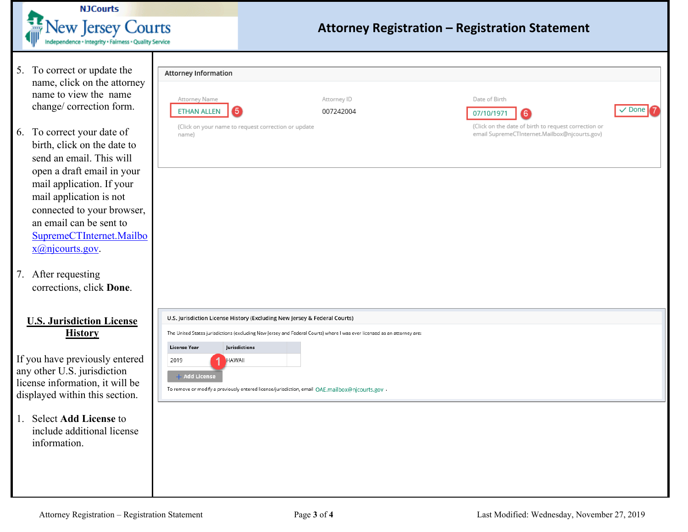<span id="page-2-0"></span>